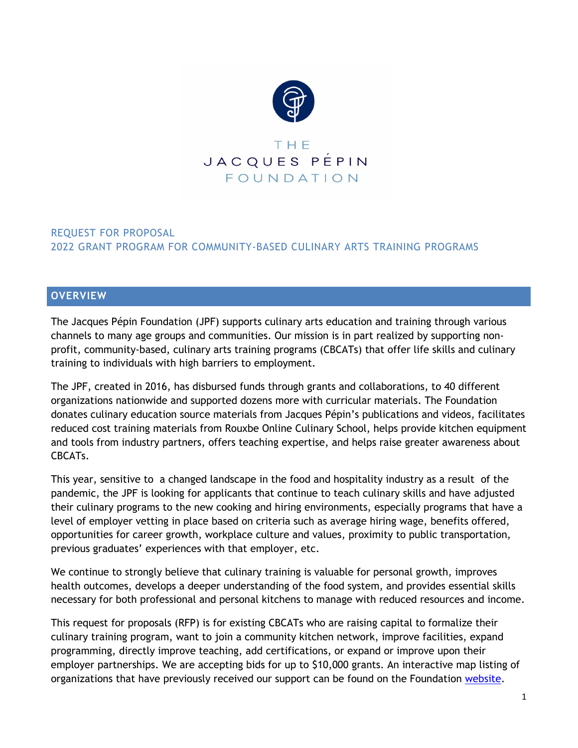

## THE JACQUES PÉPIN FOUNDATION

## REQUEST FOR PROPOSAL 2022 GRANT PROGRAM FOR COMMUNITY-BASED CULINARY ARTS TRAINING PROGRAMS

## **OVERVIEW**

The Jacques Pépin Foundation (JPF) supports culinary arts education and training through various channels to many age groups and communities. Our mission is in part realized by supporting nonprofit, community-based, culinary arts training programs (CBCATs) that offer life skills and culinary training to individuals with high barriers to employment.

The JPF, created in 2016, has disbursed funds through grants and collaborations, to 40 different organizations nationwide and supported dozens more with curricular materials. The Foundation donates culinary education source materials from Jacques Pépin's publications and videos, facilitates reduced cost training materials from Rouxbe Online Culinary School, helps provide kitchen equipment and tools from industry partners, offers teaching expertise, and helps raise greater awareness about CBCATs.

This year, sensitive to a changed landscape in the food and hospitality industry as a result of the pandemic, the JPF is looking for applicants that continue to teach culinary skills and have adjusted their culinary programs to the new cooking and hiring environments, especially programs that have a level of employer vetting in place based on criteria such as average hiring wage, benefits offered, opportunities for career growth, workplace culture and values, proximity to public transportation, previous graduates' experiences with that employer, etc.

We continue to strongly believe that culinary training is valuable for personal growth, improves health outcomes, develops a deeper understanding of the food system, and provides essential skills necessary for both professional and personal kitchens to manage with reduced resources and income.

This request for proposals (RFP) is for existing CBCATs who are raising capital to formalize their culinary training program, want to join a community kitchen network, improve facilities, expand programming, directly improve teaching, add certifications, or expand or improve upon their employer partnerships. We are accepting bids for up to \$10,000 grants. An interactive map listing of organizations that have previously received our support can be found on the Foundation website.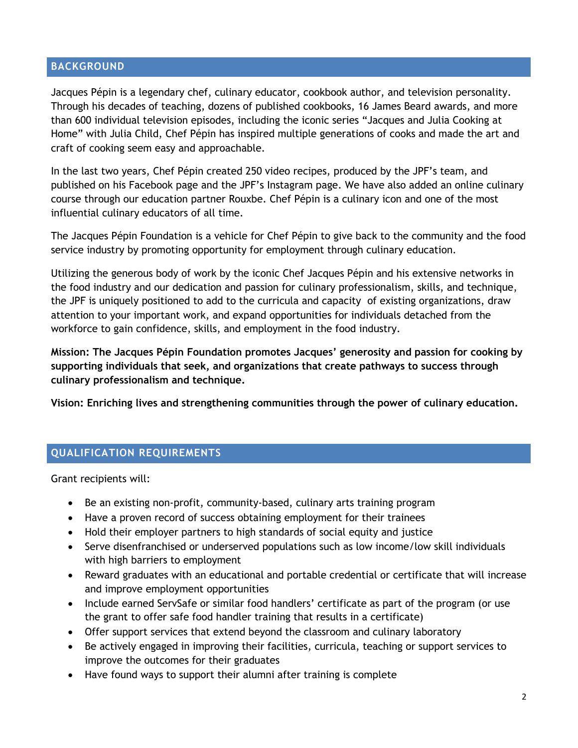## **BACKGROUND**

Jacques Pépin is a legendary chef, culinary educator, cookbook author, and television personality. Through his decades of teaching, dozens of published cookbooks, 16 James Beard awards, and more than 600 individual television episodes, including the iconic series "Jacques and Julia Cooking at Home" with Julia Child, Chef Pépin has inspired multiple generations of cooks and made the art and craft of cooking seem easy and approachable.

In the last two years, Chef Pépin created 250 video recipes, produced by the JPF's team, and published on his Facebook page and the JPF's Instagram page. We have also added an online culinary course through our education partner Rouxbe. Chef Pépin is a culinary icon and one of the most influential culinary educators of all time.

The Jacques Pépin Foundation is a vehicle for Chef Pépin to give back to the community and the food service industry by promoting opportunity for employment through culinary education.

Utilizing the generous body of work by the iconic Chef Jacques Pépin and his extensive networks in the food industry and our dedication and passion for culinary professionalism, skills, and technique, the JPF is uniquely positioned to add to the curricula and capacity of existing organizations, draw attention to your important work, and expand opportunities for individuals detached from the workforce to gain confidence, skills, and employment in the food industry.

**Mission: The Jacques Pépin Foundation promotes Jacques' generosity and passion for cooking by supporting individuals that seek, and organizations that create pathways to success through culinary professionalism and technique.**

**Vision: Enriching lives and strengthening communities through the power of culinary education.**

## **QUALIFICATION REQUIREMENTS**

Grant recipients will:

- Be an existing non-profit, community-based, culinary arts training program
- Have a proven record of success obtaining employment for their trainees
- Hold their employer partners to high standards of social equity and justice
- Serve disenfranchised or underserved populations such as low income/low skill individuals with high barriers to employment
- Reward graduates with an educational and portable credential or certificate that will increase and improve employment opportunities
- Include earned ServSafe or similar food handlers' certificate as part of the program (or use the grant to offer safe food handler training that results in a certificate)
- Offer support services that extend beyond the classroom and culinary laboratory
- Be actively engaged in improving their facilities, curricula, teaching or support services to improve the outcomes for their graduates
- Have found ways to support their alumni after training is complete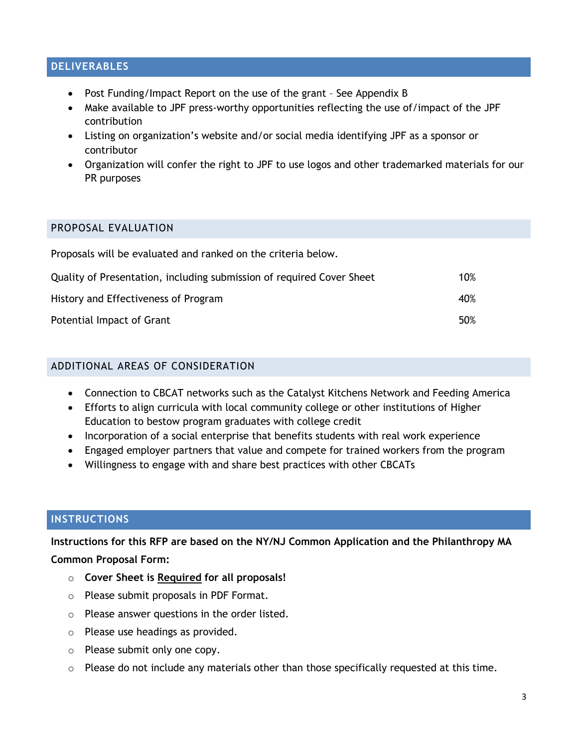#### **DELIVERABLES**

- Post Funding/Impact Report on the use of the grant See Appendix B
- Make available to JPF press-worthy opportunities reflecting the use of/impact of the JPF contribution
- Listing on organization's website and/or social media identifying JPF as a sponsor or contributor
- Organization will confer the right to JPF to use logos and other trademarked materials for our PR purposes

## PROPOSAL EVALUATION

| Proposals will be evaluated and ranked on the criteria below.         |     |
|-----------------------------------------------------------------------|-----|
| Quality of Presentation, including submission of required Cover Sheet | 10% |
| History and Effectiveness of Program                                  | 40% |
| Potential Impact of Grant                                             | 50% |

## ADDITIONAL AREAS OF CONSIDERATION

- Connection to CBCAT networks such as the Catalyst Kitchens Network and Feeding America
- Efforts to align curricula with local community college or other institutions of Higher Education to bestow program graduates with college credit
- Incorporation of a social enterprise that benefits students with real work experience
- Engaged employer partners that value and compete for trained workers from the program
- Willingness to engage with and share best practices with other CBCATs

## **INSTRUCTIONS**

**Instructions for this RFP are based on the NY/NJ Common Application and the Philanthropy MA** 

#### **Common Proposal Form:**

- o **Cover Sheet is Required for all proposals!**
- o Please submit proposals in PDF Format.
- o Please answer questions in the order listed.
- o Please use headings as provided.
- o Please submit only one copy.
- o Please do not include any materials other than those specifically requested at this time.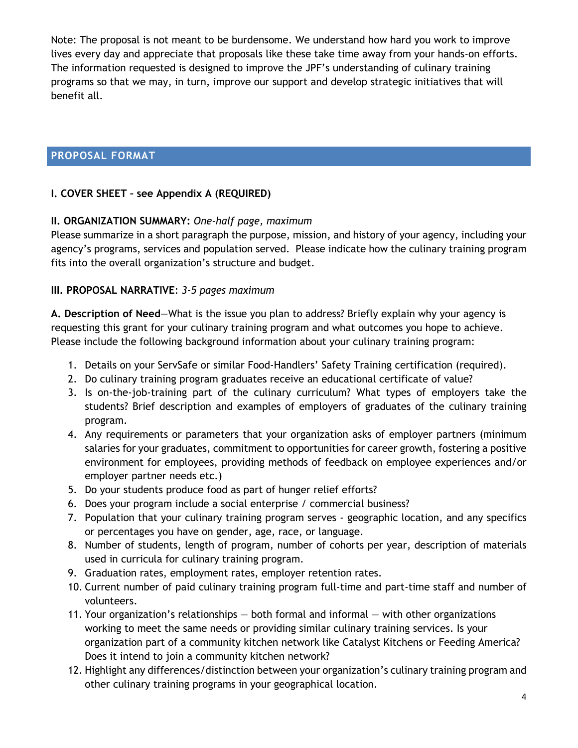Note: The proposal is not meant to be burdensome. We understand how hard you work to improve lives every day and appreciate that proposals like these take time away from your hands-on efforts. The information requested is designed to improve the JPF's understanding of culinary training programs so that we may, in turn, improve our support and develop strategic initiatives that will benefit all.

## **PROPOSAL FORMAT**

## **I. COVER SHEET – see Appendix A (REQUIRED)**

## **II. ORGANIZATION SUMMARY:** *One-half page, maximum*

Please summarize in a short paragraph the purpose, mission, and history of your agency, including your agency's programs, services and population served. Please indicate how the culinary training program fits into the overall organization's structure and budget.

## **III. PROPOSAL NARRATIVE**: *3-5 pages maximum*

**A. Description of Need**—What is the issue you plan to address? Briefly explain why your agency is requesting this grant for your culinary training program and what outcomes you hope to achieve. Please include the following background information about your culinary training program:

- 1. Details on your ServSafe or similar Food-Handlers' Safety Training certification (required).
- 2. Do culinary training program graduates receive an educational certificate of value?
- 3. Is on-the-job-training part of the culinary curriculum? What types of employers take the students? Brief description and examples of employers of graduates of the culinary training program.
- 4. Any requirements or parameters that your organization asks of employer partners (minimum salaries for your graduates, commitment to opportunities for career growth, fostering a positive environment for employees, providing methods of feedback on employee experiences and/or employer partner needs etc.)
- 5. Do your students produce food as part of hunger relief efforts?
- 6. Does your program include a social enterprise / commercial business?
- 7. Population that your culinary training program serves geographic location, and any specifics or percentages you have on gender, age, race, or language.
- 8. Number of students, length of program, number of cohorts per year, description of materials used in curricula for culinary training program.
- 9. Graduation rates, employment rates, employer retention rates.
- 10. Current number of paid culinary training program full-time and part-time staff and number of volunteers.
- 11. Your organization's relationships  $-$  both formal and informal  $-$  with other organizations working to meet the same needs or providing similar culinary training services. Is your organization part of a community kitchen network like Catalyst Kitchens or Feeding America? Does it intend to join a community kitchen network?
- 12. Highlight any differences/distinction between your organization's culinary training program and other culinary training programs in your geographical location.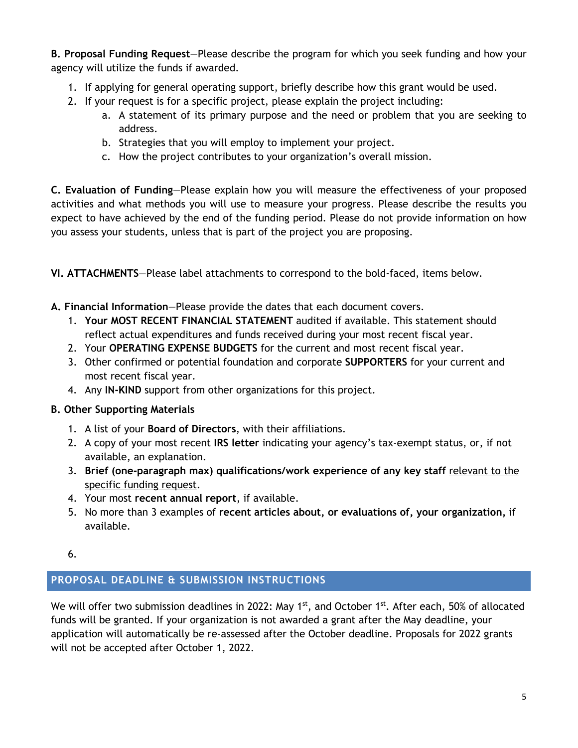**B. Proposal Funding Request**—Please describe the program for which you seek funding and how your agency will utilize the funds if awarded.

- 1. If applying for general operating support, briefly describe how this grant would be used.
- 2. If your request is for a specific project, please explain the project including:
	- a. A statement of its primary purpose and the need or problem that you are seeking to address.
	- b. Strategies that you will employ to implement your project.
	- c. How the project contributes to your organization's overall mission.

**C. Evaluation of Funding**—Please explain how you will measure the effectiveness of your proposed activities and what methods you will use to measure your progress. Please describe the results you expect to have achieved by the end of the funding period. Please do not provide information on how you assess your students, unless that is part of the project you are proposing.

**VI. ATTACHMENTS**—Please label attachments to correspond to the bold-faced, items below.

- **A. Financial Information**—Please provide the dates that each document covers.
	- 1. **Your MOST RECENT FINANCIAL STATEMENT** audited if available. This statement should reflect actual expenditures and funds received during your most recent fiscal year.
	- 2. Your **OPERATING EXPENSE BUDGETS** for the current and most recent fiscal year.
	- 3. Other confirmed or potential foundation and corporate **SUPPORTERS** for your current and most recent fiscal year.
	- 4. Any **IN-KIND** support from other organizations for this project.

#### **B. Other Supporting Materials**

- 1. A list of your **Board of Directors**, with their affiliations.
- 2. A copy of your most recent **IRS letter** indicating your agency's tax-exempt status, or, if not available, an explanation.
- 3. **Brief (one-paragraph max) qualifications/work experience of any key staff** relevant to the specific funding request.
- 4. Your most **recent annual report**, if available.
- 5. No more than 3 examples of **recent articles about, or evaluations of, your organization,** if available.
- 6.

## **PROPOSAL DEADLINE & SUBMISSION INSTRUCTIONS**

We will offer two submission deadlines in 2022: May 1<sup>st</sup>, and October 1<sup>st</sup>. After each, 50% of allocated funds will be granted. If your organization is not awarded a grant after the May deadline, your application will automatically be re-assessed after the October deadline. Proposals for 2022 grants will not be accepted after October 1, 2022.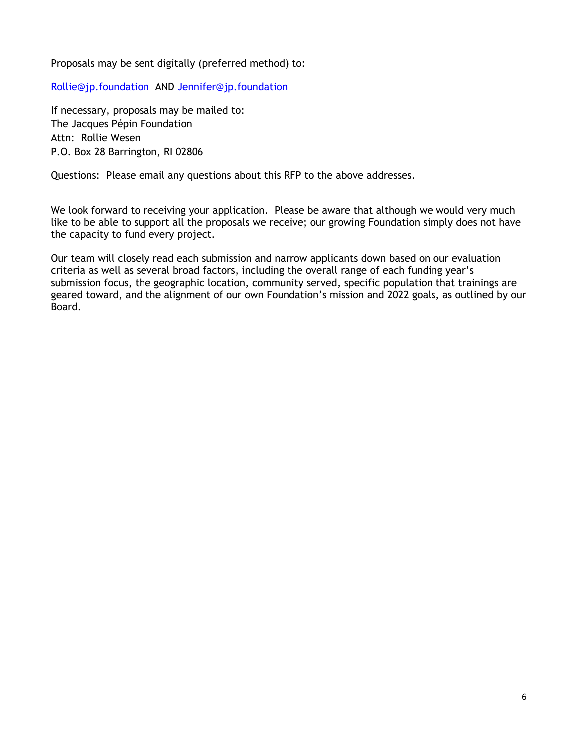Proposals may be sent digitally (preferred method) to:

Rollie@jp.foundation AND Jennifer@jp.foundation

If necessary, proposals may be mailed to: The Jacques Pépin Foundation Attn: Rollie Wesen P.O. Box 28 Barrington, RI 02806

Questions: Please email any questions about this RFP to the above addresses.

We look forward to receiving your application. Please be aware that although we would very much like to be able to support all the proposals we receive; our growing Foundation simply does not have the capacity to fund every project.

Our team will closely read each submission and narrow applicants down based on our evaluation criteria as well as several broad factors, including the overall range of each funding year's submission focus, the geographic location, community served, specific population that trainings are geared toward, and the alignment of our own Foundation's mission and 2022 goals, as outlined by our Board.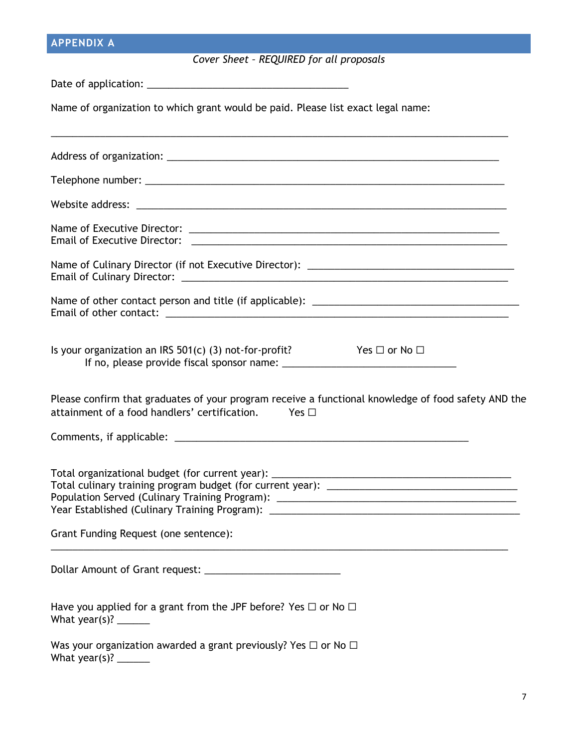|  | <b>APPENDIX A</b> |  |  |  |  |  |
|--|-------------------|--|--|--|--|--|
|--|-------------------|--|--|--|--|--|

# *Cover Sheet – REQUIRED for all proposals*

| Name of organization to which grant would be paid. Please list exact legal name:                                                                                                                                                                           |  |  |  |  |
|------------------------------------------------------------------------------------------------------------------------------------------------------------------------------------------------------------------------------------------------------------|--|--|--|--|
|                                                                                                                                                                                                                                                            |  |  |  |  |
|                                                                                                                                                                                                                                                            |  |  |  |  |
|                                                                                                                                                                                                                                                            |  |  |  |  |
|                                                                                                                                                                                                                                                            |  |  |  |  |
|                                                                                                                                                                                                                                                            |  |  |  |  |
|                                                                                                                                                                                                                                                            |  |  |  |  |
| Is your organization an IRS 501(c) (3) not-for-profit? Yes $\Box$ or No $\Box$                                                                                                                                                                             |  |  |  |  |
| Please confirm that graduates of your program receive a functional knowledge of food safety AND the<br>attainment of a food handlers' certification. Yes $\Box$                                                                                            |  |  |  |  |
|                                                                                                                                                                                                                                                            |  |  |  |  |
| Total culinary training program budget (for current year): ______________________<br>Population Served (Culinary Training Program): __________________________________<br>Year Established (Culinary Training Program): __________________________________ |  |  |  |  |
| Grant Funding Request (one sentence):                                                                                                                                                                                                                      |  |  |  |  |
|                                                                                                                                                                                                                                                            |  |  |  |  |
| Have you applied for a grant from the JPF before? Yes $\Box$ or No $\Box$<br>What year(s)? $\frac{1}{\sqrt{1-\frac{1}{2}}}\$                                                                                                                               |  |  |  |  |
| Was your organization awarded a grant previously? Yes $\Box$ or No $\Box$<br>What year(s)? $\frac{1}{\sqrt{1-\frac{1}{2}}}\$                                                                                                                               |  |  |  |  |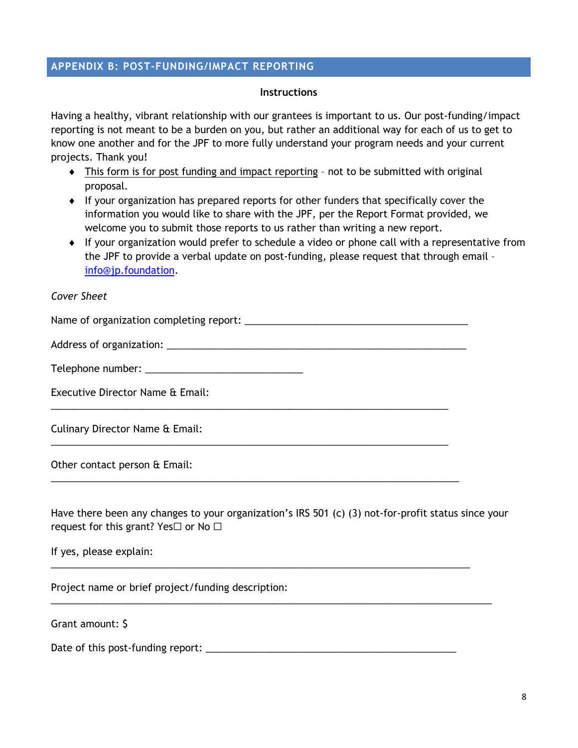#### **APPENDIX B: POST-FUNDING/IMPACT REPORTING**

#### **Instructions**

Having a healthy, vibrant relationship with our grantees is important to us. Our post-funding/impact reporting is not meant to be a burden on you, but rather an additional way for each of us to get to know one another and for the JPF to more fully understand your program needs and your current projects. Thank you!

- $\bullet$  This form is for post funding and impact reporting not to be submitted with original proposal.
- $\bullet$  If your organization has prepared reports for other funders that specifically cover the information you would like to share with the JPF, per the Report Format provided, we welcome you to submit those reports to us rather than writing a new report.
- If your organization would prefer to schedule a video or phone call with a representative from the JPF to provide a verbal update on post-funding, please request that through email – info@jp.foundation.

#### *Cover Sheet*

Name of organization completing report: \_\_\_\_\_\_\_\_\_\_\_\_\_\_\_\_\_\_\_\_\_\_\_\_\_\_\_\_\_\_\_\_\_\_\_\_\_\_\_\_\_

\_\_\_\_\_\_\_\_\_\_\_\_\_\_\_\_\_\_\_\_\_\_\_\_\_\_\_\_\_\_\_\_\_\_\_\_\_\_\_\_\_\_\_\_\_\_\_\_\_\_\_\_\_\_\_\_\_\_\_\_\_\_\_\_\_\_\_\_\_\_\_\_\_

\_\_\_\_\_\_\_\_\_\_\_\_\_\_\_\_\_\_\_\_\_\_\_\_\_\_\_\_\_\_\_\_\_\_\_\_\_\_\_\_\_\_\_\_\_\_\_\_\_\_\_\_\_\_\_\_\_\_\_\_\_\_\_\_\_\_\_\_\_\_\_\_\_

\_\_\_\_\_\_\_\_\_\_\_\_\_\_\_\_\_\_\_\_\_\_\_\_\_\_\_\_\_\_\_\_\_\_\_\_\_\_\_\_\_\_\_\_\_\_\_\_\_\_\_\_\_\_\_\_\_\_\_\_\_\_\_\_\_\_\_\_\_\_\_\_\_\_\_

\_\_\_\_\_\_\_\_\_\_\_\_\_\_\_\_\_\_\_\_\_\_\_\_\_\_\_\_\_\_\_\_\_\_\_\_\_\_\_\_\_\_\_\_\_\_\_\_\_\_\_\_\_\_\_\_\_\_\_\_\_\_\_\_\_\_\_\_\_\_\_\_\_\_\_\_\_

\_\_\_\_\_\_\_\_\_\_\_\_\_\_\_\_\_\_\_\_\_\_\_\_\_\_\_\_\_\_\_\_\_\_\_\_\_\_\_\_\_\_\_\_\_\_\_\_\_\_\_\_\_\_\_\_\_\_\_\_\_\_\_\_\_\_\_\_\_\_\_\_\_\_\_\_\_\_\_\_\_

| Address of organization: |  |
|--------------------------|--|
|                          |  |

Telephone number: \_\_\_\_\_\_\_\_\_\_\_\_\_\_\_\_\_\_\_\_\_\_\_\_\_\_\_\_\_

Executive Director Name & Email:

Culinary Director Name & Email:

Other contact person & Email:

Have there been any changes to your organization's IRS 501 (c) (3) not-for-profit status since your request for this grant? Yes $\Box$  or No  $\Box$ 

If yes, please explain:

Project name or brief project/funding description:

Grant amount: \$

Date of this post-funding report: \_\_\_\_\_\_\_\_\_\_\_\_\_\_\_\_\_\_\_\_\_\_\_\_\_\_\_\_\_\_\_\_\_\_\_\_\_\_\_\_\_\_\_\_\_\_